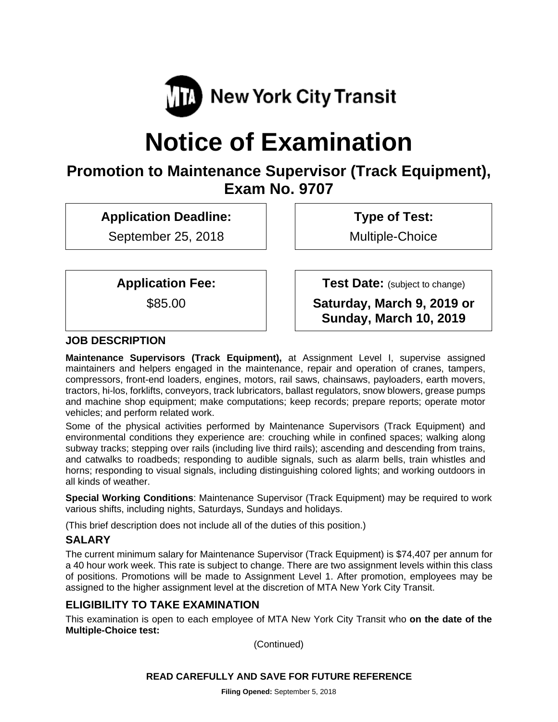

# **Notice of Examination**

# **Promotion to Maintenance Supervisor (Track Equipment), Exam No. 9707**

**Application Deadline:** 

September 25, 2018

 **Type of Test:** 

Multiple-Choice

**Application Fee:** 

\$85.00

 **Test Date:** (subject to change)

**Saturday, March 9, 2019 or Sunday, March 10, 2019** 

#### **JOB DESCRIPTION**

**Maintenance Supervisors (Track Equipment),** at Assignment Level I, supervise assigned maintainers and helpers engaged in the maintenance, repair and operation of cranes, tampers, compressors, front-end loaders, engines, motors, rail saws, chainsaws, payloaders, earth movers, tractors, hi-los, forklifts, conveyors, track lubricators, ballast regulators, snow blowers, grease pumps and machine shop equipment; make computations; keep records; prepare reports; operate motor vehicles; and perform related work.

Some of the physical activities performed by Maintenance Supervisors (Track Equipment) and environmental conditions they experience are: crouching while in confined spaces; walking along subway tracks; stepping over rails (including live third rails); ascending and descending from trains, and catwalks to roadbeds; responding to audible signals, such as alarm bells, train whistles and horns; responding to visual signals, including distinguishing colored lights; and working outdoors in all kinds of weather.

**Special Working Conditions**: Maintenance Supervisor (Track Equipment) may be required to work various shifts, including nights, Saturdays, Sundays and holidays.

(This brief description does not include all of the duties of this position.)

#### **SALARY**

The current minimum salary for Maintenance Supervisor (Track Equipment) is \$74,407 per annum for a 40 hour work week. This rate is subject to change. There are two assignment levels within this class of positions. Promotions will be made to Assignment Level 1. After promotion, employees may be assigned to the higher assignment level at the discretion of MTA New York City Transit.

# **ELIGIBILITY TO TAKE EXAMINATION**

This examination is open to each employee of MTA New York City Transit who **on the date of the Multiple-Choice test:** 

(Continued)

#### **READ CAREFULLY AND SAVE FOR FUTURE REFERENCE**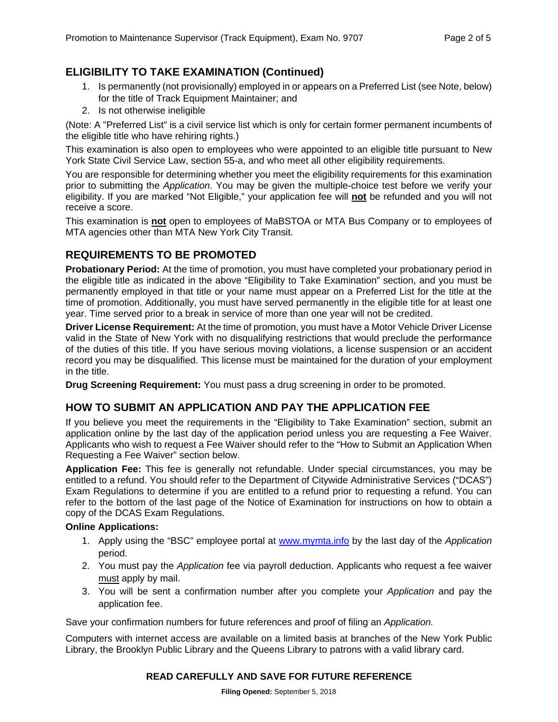# **ELIGIBILITY TO TAKE EXAMINATION (Continued)**

- 1. Is permanently (not provisionally) employed in or appears on a Preferred List (see Note, below) for the title of Track Equipment Maintainer; and
- 2. Is not otherwise ineligible

(Note: A "Preferred List" is a civil service list which is only for certain former permanent incumbents of the eligible title who have rehiring rights.)

This examination is also open to employees who were appointed to an eligible title pursuant to New York State Civil Service Law, section 55-a, and who meet all other eligibility requirements.

You are responsible for determining whether you meet the eligibility requirements for this examination prior to submitting the *Application*. You may be given the multiple-choice test before we verify your eligibility. If you are marked "Not Eligible," your application fee will **not** be refunded and you will not receive a score.

This examination is **not** open to employees of MaBSTOA or MTA Bus Company or to employees of MTA agencies other than MTA New York City Transit.

#### **REQUIREMENTS TO BE PROMOTED**

**Probationary Period:** At the time of promotion, you must have completed your probationary period in the eligible title as indicated in the above "Eligibility to Take Examination" section, and you must be permanently employed in that title or your name must appear on a Preferred List for the title at the time of promotion. Additionally, you must have served permanently in the eligible title for at least one year. Time served prior to a break in service of more than one year will not be credited.

**Driver License Requirement:** At the time of promotion, you must have a Motor Vehicle Driver License valid in the State of New York with no disqualifying restrictions that would preclude the performance of the duties of this title. If you have serious moving violations, a license suspension or an accident record you may be disqualified. This license must be maintained for the duration of your employment in the title.

**Drug Screening Requirement:** You must pass a drug screening in order to be promoted.

#### **HOW TO SUBMIT AN APPLICATION AND PAY THE APPLICATION FEE**

If you believe you meet the requirements in the "Eligibility to Take Examination" section, submit an application online by the last day of the application period unless you are requesting a Fee Waiver. Applicants who wish to request a Fee Waiver should refer to the "How to Submit an Application When Requesting a Fee Waiver" section below.

**Application Fee:** This fee is generally not refundable. Under special circumstances, you may be entitled to a refund. You should refer to the Department of Citywide Administrative Services ("DCAS") Exam Regulations to determine if you are entitled to a refund prior to requesting a refund. You can refer to the bottom of the last page of the Notice of Examination for instructions on how to obtain a copy of the DCAS Exam Regulations.

#### **Online Applications:**

- 1. Apply using the "BSC" employee portal at www.mymta.info by the last day of the *Application*  period.
- 2. You must pay the *Application* fee via payroll deduction. Applicants who request a fee waiver must apply by mail.
- 3. You will be sent a confirmation number after you complete your *Application* and pay the application fee.

Save your confirmation numbers for future references and proof of filing an *Application.*

Computers with internet access are available on a limited basis at branches of the New York Public Library, the Brooklyn Public Library and the Queens Library to patrons with a valid library card.

#### **READ CAREFULLY AND SAVE FOR FUTURE REFERENCE**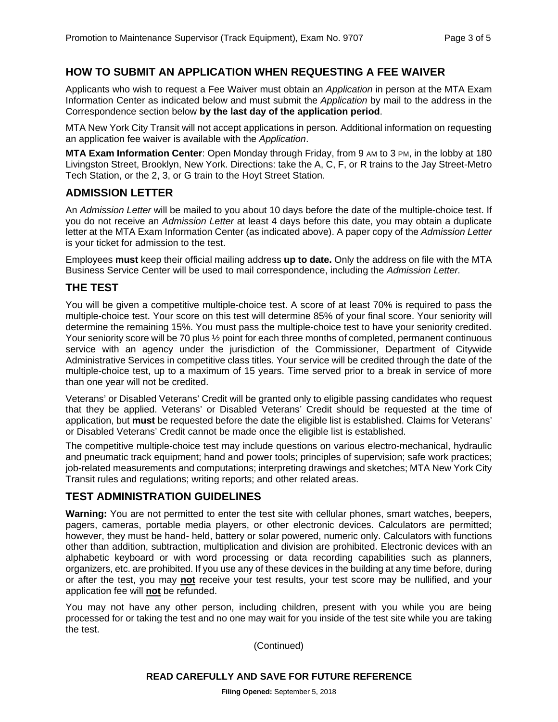#### **HOW TO SUBMIT AN APPLICATION WHEN REQUESTING A FEE WAIVER**

Applicants who wish to request a Fee Waiver must obtain an *Application* in person at the MTA Exam Information Center as indicated below and must submit the *Application* by mail to the address in the Correspondence section below **by the last day of the application period**.

MTA New York City Transit will not accept applications in person. Additional information on requesting an application fee waiver is available with the *Application*.

**MTA Exam Information Center**: Open Monday through Friday, from 9 AM to 3 PM, in the lobby at 180 Livingston Street, Brooklyn, New York. Directions: take the A, C, F, or R trains to the Jay Street-Metro Tech Station, or the 2, 3, or G train to the Hoyt Street Station.

#### **ADMISSION LETTER**

An *Admission Letter* will be mailed to you about 10 days before the date of the multiple-choice test. If you do not receive an *Admission Letter* at least 4 days before this date, you may obtain a duplicate letter at the MTA Exam Information Center (as indicated above). A paper copy of the *Admission Letter* is your ticket for admission to the test.

Employees **must** keep their official mailing address **up to date.** Only the address on file with the MTA Business Service Center will be used to mail correspondence, including the *Admission Letter.*

#### **THE TEST**

You will be given a competitive multiple-choice test. A score of at least 70% is required to pass the multiple-choice test. Your score on this test will determine 85% of your final score. Your seniority will determine the remaining 15%. You must pass the multiple-choice test to have your seniority credited. Your seniority score will be 70 plus  $\frac{1}{2}$  point for each three months of completed, permanent continuous service with an agency under the jurisdiction of the Commissioner, Department of Citywide Administrative Services in competitive class titles. Your service will be credited through the date of the multiple-choice test, up to a maximum of 15 years. Time served prior to a break in service of more than one year will not be credited.

Veterans' or Disabled Veterans' Credit will be granted only to eligible passing candidates who request that they be applied. Veterans' or Disabled Veterans' Credit should be requested at the time of application, but **must** be requested before the date the eligible list is established. Claims for Veterans' or Disabled Veterans' Credit cannot be made once the eligible list is established.

The competitive multiple-choice test may include questions on various electro-mechanical, hydraulic and pneumatic track equipment; hand and power tools; principles of supervision; safe work practices; job-related measurements and computations; interpreting drawings and sketches; MTA New York City Transit rules and regulations; writing reports; and other related areas.

# **TEST ADMINISTRATION GUIDELINES**

**Warning:** You are not permitted to enter the test site with cellular phones, smart watches, beepers, pagers, cameras, portable media players, or other electronic devices. Calculators are permitted; however, they must be hand- held, battery or solar powered, numeric only. Calculators with functions other than addition, subtraction, multiplication and division are prohibited. Electronic devices with an alphabetic keyboard or with word processing or data recording capabilities such as planners, organizers, etc. are prohibited. If you use any of these devices in the building at any time before, during or after the test, you may **not** receive your test results, your test score may be nullified, and your application fee will **not** be refunded.

You may not have any other person, including children, present with you while you are being processed for or taking the test and no one may wait for you inside of the test site while you are taking the test.

(Continued)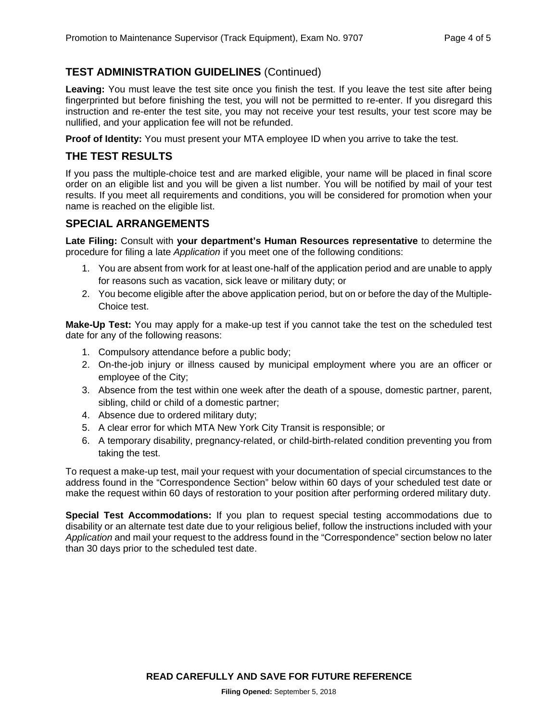# **TEST ADMINISTRATION GUIDELINES** (Continued)

Leaving: You must leave the test site once you finish the test. If you leave the test site after being fingerprinted but before finishing the test, you will not be permitted to re-enter. If you disregard this instruction and re-enter the test site, you may not receive your test results, your test score may be nullified, and your application fee will not be refunded.

**Proof of Identity:** You must present your MTA employee ID when you arrive to take the test.

#### **THE TEST RESULTS**

If you pass the multiple-choice test and are marked eligible, your name will be placed in final score order on an eligible list and you will be given a list number. You will be notified by mail of your test results. If you meet all requirements and conditions, you will be considered for promotion when your name is reached on the eligible list.

#### **SPECIAL ARRANGEMENTS**

**Late Filing:** Consult with **your department's Human Resources representative** to determine the procedure for filing a late *Application* if you meet one of the following conditions:

- 1. You are absent from work for at least one-half of the application period and are unable to apply for reasons such as vacation, sick leave or military duty; or
- 2. You become eligible after the above application period, but on or before the day of the Multiple-Choice test.

**Make-Up Test:** You may apply for a make-up test if you cannot take the test on the scheduled test date for any of the following reasons:

- 1. Compulsory attendance before a public body;
- 2. On-the-job injury or illness caused by municipal employment where you are an officer or employee of the City;
- 3. Absence from the test within one week after the death of a spouse, domestic partner, parent, sibling, child or child of a domestic partner;
- 4. Absence due to ordered military duty;
- 5. A clear error for which MTA New York City Transit is responsible; or
- 6. A temporary disability, pregnancy-related, or child-birth-related condition preventing you from taking the test.

To request a make-up test, mail your request with your documentation of special circumstances to the address found in the "Correspondence Section" below within 60 days of your scheduled test date or make the request within 60 days of restoration to your position after performing ordered military duty.

**Special Test Accommodations:** If you plan to request special testing accommodations due to disability or an alternate test date due to your religious belief, follow the instructions included with your *Application* and mail your request to the address found in the "Correspondence" section below no later than 30 days prior to the scheduled test date.